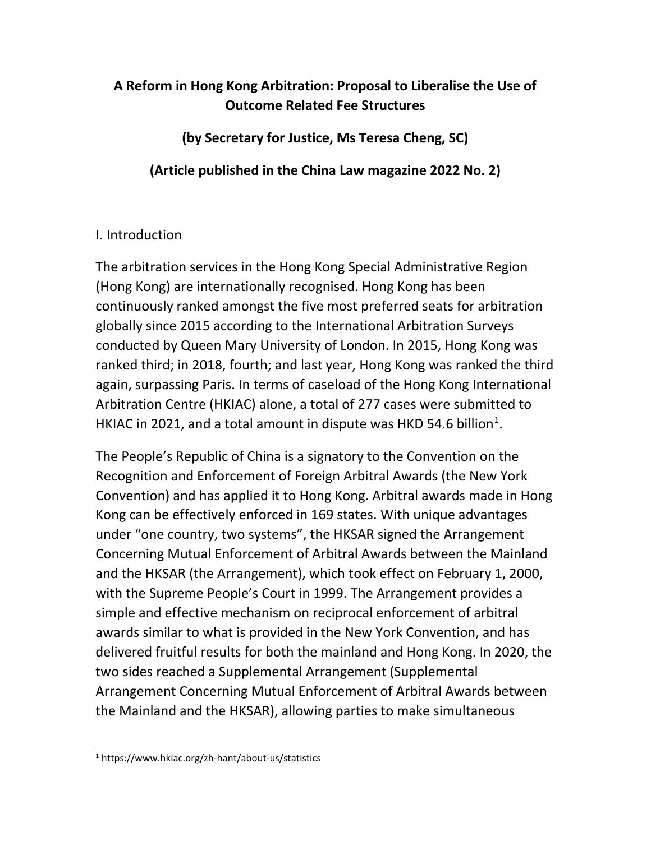## **A Reform in Hong Kong Arbitration: Proposal to Liberalise the Use of Outcome Related Fee Structures**

**(by Secretary for Justice, Ms Teresa Cheng, SC)**

**(Article published in the China Law magazine 2022 No. 2)**

## I. Introduction

The arbitration services in the Hong Kong Special Administrative Region (Hong Kong) are internationally recognised. Hong Kong has been continuously ranked amongst the five most preferred seats for arbitration globally since 2015 according to the International Arbitration Surveys conducted by Queen Mary University of London. In 2015, Hong Kong was ranked third; in 2018, fourth; and last year, Hong Kong was ranked the third again, surpassing Paris. In terms of caseload of the Hong Kong International Arbitration Centre (HKIAC) alone, a total of 277 cases were submitted to HKIAC in 202[1](#page-0-0), and a total amount in dispute was HKD 54.6 billion<sup>1</sup>.

The People's Republic of China is a signatory to the Convention on the Recognition and Enforcement of Foreign Arbitral Awards (the New York Convention) and has applied it to Hong Kong. Arbitral awards made in Hong Kong can be effectively enforced in 169 states. With unique advantages under "one country, two systems", the HKSAR signed the Arrangement Concerning Mutual Enforcement of Arbitral Awards between the Mainland and the HKSAR (the Arrangement), which took effect on February 1, 2000, with the Supreme People's Court in 1999. The Arrangement provides a simple and effective mechanism on reciprocal enforcement of arbitral awards similar to what is provided in the New York Convention, and has delivered fruitful results for both the mainland and Hong Kong. In 2020, the two sides reached a Supplemental Arrangement (Supplemental Arrangement Concerning Mutual Enforcement of Arbitral Awards between the Mainland and the HKSAR), allowing parties to make simultaneous

<span id="page-0-0"></span> <sup>1</sup> https://www.hkiac.org/zh-hant/about-us/statistics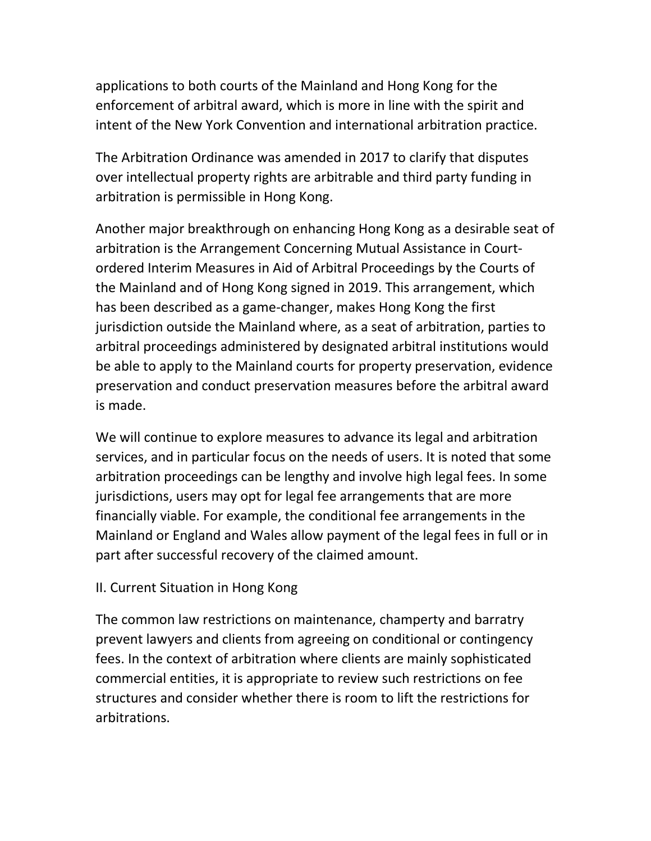applications to both courts of the Mainland and Hong Kong for the enforcement of arbitral award, which is more in line with the spirit and intent of the New York Convention and international arbitration practice.

The Arbitration Ordinance was amended in 2017 to clarify that disputes over intellectual property rights are arbitrable and third party funding in arbitration is permissible in Hong Kong.

Another major breakthrough on enhancing Hong Kong as a desirable seat of arbitration is the Arrangement Concerning Mutual Assistance in Courtordered Interim Measures in Aid of Arbitral Proceedings by the Courts of the Mainland and of Hong Kong signed in 2019. This arrangement, which has been described as a game-changer, makes Hong Kong the first jurisdiction outside the Mainland where, as a seat of arbitration, parties to arbitral proceedings administered by designated arbitral institutions would be able to apply to the Mainland courts for property preservation, evidence preservation and conduct preservation measures before the arbitral award is made.

We will continue to explore measures to advance its legal and arbitration services, and in particular focus on the needs of users. It is noted that some arbitration proceedings can be lengthy and involve high legal fees. In some jurisdictions, users may opt for legal fee arrangements that are more financially viable. For example, the conditional fee arrangements in the Mainland or England and Wales allow payment of the legal fees in full or in part after successful recovery of the claimed amount.

## II. Current Situation in Hong Kong

The common law restrictions on maintenance, champerty and barratry prevent lawyers and clients from agreeing on conditional or contingency fees. In the context of arbitration where clients are mainly sophisticated commercial entities, it is appropriate to review such restrictions on fee structures and consider whether there is room to lift the restrictions for arbitrations.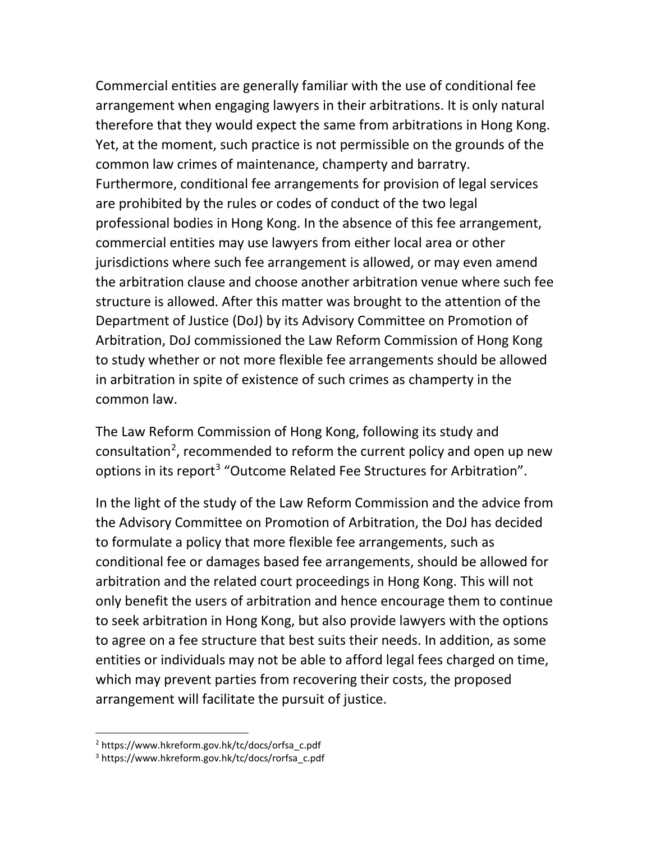Commercial entities are generally familiar with the use of conditional fee arrangement when engaging lawyers in their arbitrations. It is only natural therefore that they would expect the same from arbitrations in Hong Kong. Yet, at the moment, such practice is not permissible on the grounds of the common law crimes of maintenance, champerty and barratry. Furthermore, conditional fee arrangements for provision of legal services are prohibited by the rules or codes of conduct of the two legal professional bodies in Hong Kong. In the absence of this fee arrangement, commercial entities may use lawyers from either local area or other jurisdictions where such fee arrangement is allowed, or may even amend the arbitration clause and choose another arbitration venue where such fee structure is allowed. After this matter was brought to the attention of the Department of Justice (DoJ) by its Advisory Committee on Promotion of Arbitration, DoJ commissioned the Law Reform Commission of Hong Kong to study whether or not more flexible fee arrangements should be allowed in arbitration in spite of existence of such crimes as champerty in the common law.

The Law Reform Commission of Hong Kong, following its study and consultation<sup>[2](#page-2-0)</sup>, recommended to reform the current policy and open up new options in its report<sup>[3](#page-2-1)</sup> "Outcome Related Fee Structures for Arbitration".

In the light of the study of the Law Reform Commission and the advice from the Advisory Committee on Promotion of Arbitration, the DoJ has decided to formulate a policy that more flexible fee arrangements, such as conditional fee or damages based fee arrangements, should be allowed for arbitration and the related court proceedings in Hong Kong. This will not only benefit the users of arbitration and hence encourage them to continue to seek arbitration in Hong Kong, but also provide lawyers with the options to agree on a fee structure that best suits their needs. In addition, as some entities or individuals may not be able to afford legal fees charged on time, which may prevent parties from recovering their costs, the proposed arrangement will facilitate the pursuit of justice.

<span id="page-2-0"></span> <sup>2</sup> https://www.hkreform.gov.hk/tc/docs/orfsa\_c.pdf

<span id="page-2-1"></span><sup>3</sup> https://www.hkreform.gov.hk/tc/docs/rorfsa\_c.pdf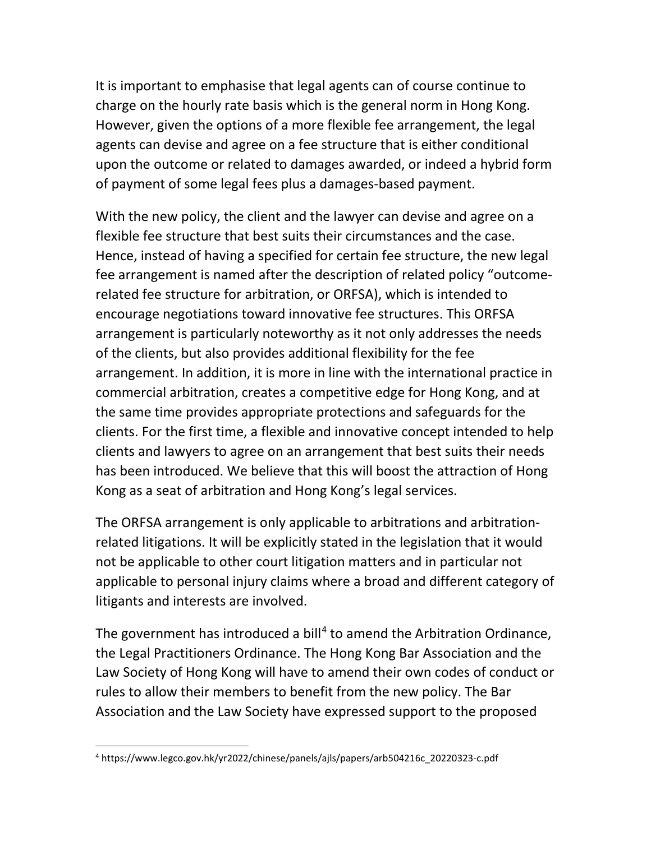It is important to emphasise that legal agents can of course continue to charge on the hourly rate basis which is the general norm in Hong Kong. However, given the options of a more flexible fee arrangement, the legal agents can devise and agree on a fee structure that is either conditional upon the outcome or related to damages awarded, or indeed a hybrid form of payment of some legal fees plus a damages-based payment.

With the new policy, the client and the lawyer can devise and agree on a flexible fee structure that best suits their circumstances and the case. Hence, instead of having a specified for certain fee structure, the new legal fee arrangement is named after the description of related policy "outcomerelated fee structure for arbitration, or ORFSA), which is intended to encourage negotiations toward innovative fee structures. This ORFSA arrangement is particularly noteworthy as it not only addresses the needs of the clients, but also provides additional flexibility for the fee arrangement. In addition, it is more in line with the international practice in commercial arbitration, creates a competitive edge for Hong Kong, and at the same time provides appropriate protections and safeguards for the clients. For the first time, a flexible and innovative concept intended to help clients and lawyers to agree on an arrangement that best suits their needs has been introduced. We believe that this will boost the attraction of Hong Kong as a seat of arbitration and Hong Kong's legal services.

The ORFSA arrangement is only applicable to arbitrations and arbitrationrelated litigations. It will be explicitly stated in the legislation that it would not be applicable to other court litigation matters and in particular not applicable to personal injury claims where a broad and different category of litigants and interests are involved.

The government has introduced a bill<sup>[4](#page-3-0)</sup> to amend the Arbitration Ordinance, the Legal Practitioners Ordinance. The Hong Kong Bar Association and the Law Society of Hong Kong will have to amend their own codes of conduct or rules to allow their members to benefit from the new policy. The Bar Association and the Law Society have expressed support to the proposed

<span id="page-3-0"></span> <sup>4</sup> https://www.legco.gov.hk/yr2022/chinese/panels/ajls/papers/arb504216c\_20220323-c.pdf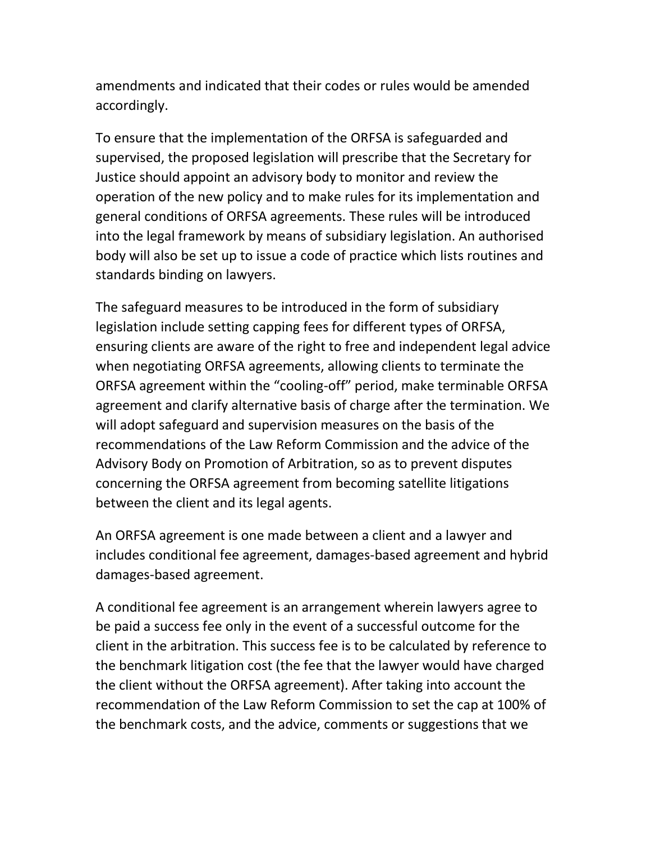amendments and indicated that their codes or rules would be amended accordingly.

To ensure that the implementation of the ORFSA is safeguarded and supervised, the proposed legislation will prescribe that the Secretary for Justice should appoint an advisory body to monitor and review the operation of the new policy and to make rules for its implementation and general conditions of ORFSA agreements. These rules will be introduced into the legal framework by means of subsidiary legislation. An authorised body will also be set up to issue a code of practice which lists routines and standards binding on lawyers.

The safeguard measures to be introduced in the form of subsidiary legislation include setting capping fees for different types of ORFSA, ensuring clients are aware of the right to free and independent legal advice when negotiating ORFSA agreements, allowing clients to terminate the ORFSA agreement within the "cooling-off" period, make terminable ORFSA agreement and clarify alternative basis of charge after the termination. We will adopt safeguard and supervision measures on the basis of the recommendations of the Law Reform Commission and the advice of the Advisory Body on Promotion of Arbitration, so as to prevent disputes concerning the ORFSA agreement from becoming satellite litigations between the client and its legal agents.

An ORFSA agreement is one made between a client and a lawyer and includes conditional fee agreement, damages-based agreement and hybrid damages-based agreement.

A conditional fee agreement is an arrangement wherein lawyers agree to be paid a success fee only in the event of a successful outcome for the client in the arbitration. This success fee is to be calculated by reference to the benchmark litigation cost (the fee that the lawyer would have charged the client without the ORFSA agreement). After taking into account the recommendation of the Law Reform Commission to set the cap at 100% of the benchmark costs, and the advice, comments or suggestions that we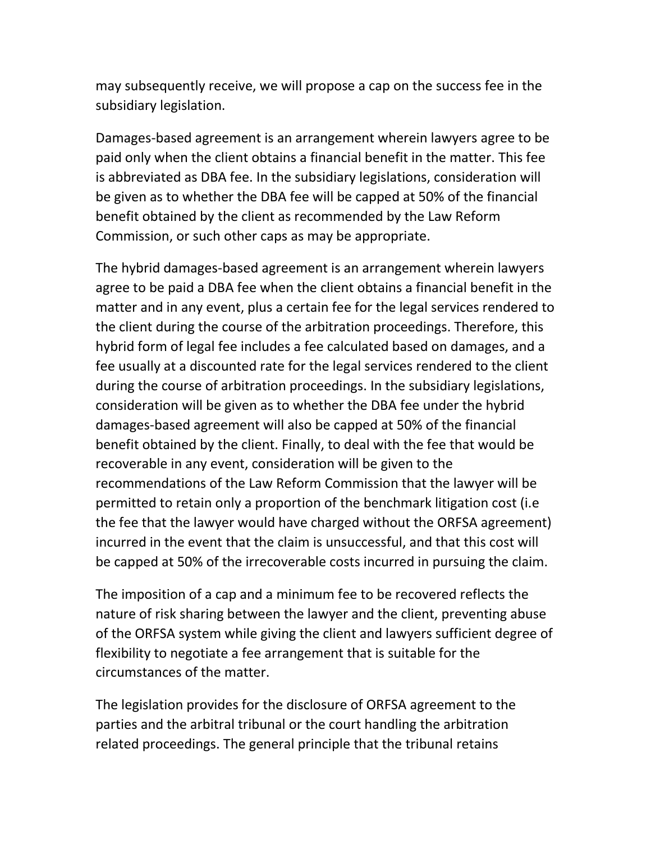may subsequently receive, we will propose a cap on the success fee in the subsidiary legislation.

Damages-based agreement is an arrangement wherein lawyers agree to be paid only when the client obtains a financial benefit in the matter. This fee is abbreviated as DBA fee. In the subsidiary legislations, consideration will be given as to whether the DBA fee will be capped at 50% of the financial benefit obtained by the client as recommended by the Law Reform Commission, or such other caps as may be appropriate.

The hybrid damages-based agreement is an arrangement wherein lawyers agree to be paid a DBA fee when the client obtains a financial benefit in the matter and in any event, plus a certain fee for the legal services rendered to the client during the course of the arbitration proceedings. Therefore, this hybrid form of legal fee includes a fee calculated based on damages, and a fee usually at a discounted rate for the legal services rendered to the client during the course of arbitration proceedings. In the subsidiary legislations, consideration will be given as to whether the DBA fee under the hybrid damages-based agreement will also be capped at 50% of the financial benefit obtained by the client. Finally, to deal with the fee that would be recoverable in any event, consideration will be given to the recommendations of the Law Reform Commission that the lawyer will be permitted to retain only a proportion of the benchmark litigation cost (i.e the fee that the lawyer would have charged without the ORFSA agreement) incurred in the event that the claim is unsuccessful, and that this cost will be capped at 50% of the irrecoverable costs incurred in pursuing the claim.

The imposition of a cap and a minimum fee to be recovered reflects the nature of risk sharing between the lawyer and the client, preventing abuse of the ORFSA system while giving the client and lawyers sufficient degree of flexibility to negotiate a fee arrangement that is suitable for the circumstances of the matter.

The legislation provides for the disclosure of ORFSA agreement to the parties and the arbitral tribunal or the court handling the arbitration related proceedings. The general principle that the tribunal retains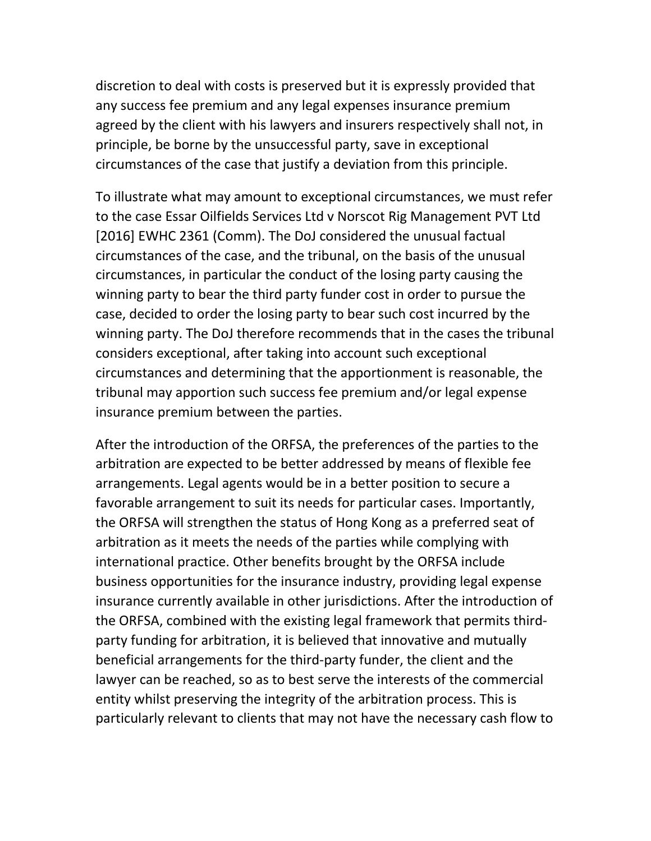discretion to deal with costs is preserved but it is expressly provided that any success fee premium and any legal expenses insurance premium agreed by the client with his lawyers and insurers respectively shall not, in principle, be borne by the unsuccessful party, save in exceptional circumstances of the case that justify a deviation from this principle.

To illustrate what may amount to exceptional circumstances, we must refer to the case Essar Oilfields Services Ltd v Norscot Rig Management PVT Ltd [2016] EWHC 2361 (Comm). The DoJ considered the unusual factual circumstances of the case, and the tribunal, on the basis of the unusual circumstances, in particular the conduct of the losing party causing the winning party to bear the third party funder cost in order to pursue the case, decided to order the losing party to bear such cost incurred by the winning party. The DoJ therefore recommends that in the cases the tribunal considers exceptional, after taking into account such exceptional circumstances and determining that the apportionment is reasonable, the tribunal may apportion such success fee premium and/or legal expense insurance premium between the parties.

After the introduction of the ORFSA, the preferences of the parties to the arbitration are expected to be better addressed by means of flexible fee arrangements. Legal agents would be in a better position to secure a favorable arrangement to suit its needs for particular cases. Importantly, the ORFSA will strengthen the status of Hong Kong as a preferred seat of arbitration as it meets the needs of the parties while complying with international practice. Other benefits brought by the ORFSA include business opportunities for the insurance industry, providing legal expense insurance currently available in other jurisdictions. After the introduction of the ORFSA, combined with the existing legal framework that permits thirdparty funding for arbitration, it is believed that innovative and mutually beneficial arrangements for the third-party funder, the client and the lawyer can be reached, so as to best serve the interests of the commercial entity whilst preserving the integrity of the arbitration process. This is particularly relevant to clients that may not have the necessary cash flow to